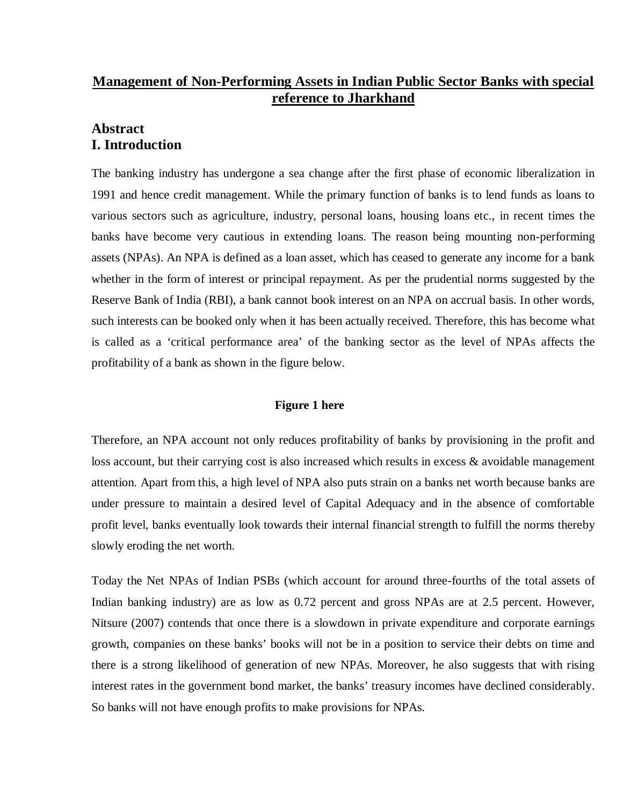# **Management of Non-Performing Assets in Indian Public Sector Banks with special reference to Jharkhand**

# **Abstract I. Introduction**

The banking industry has undergone a sea change after the first phase of economic liberalization in 1991 and hence credit management. While the primary function of banks is to lend funds as loans to various sectors such as agriculture, industry, personal loans, housing loans etc., in recent times the banks have become very cautious in extending loans. The reason being mounting non-performing assets (NPAs). An NPA is defined as a loan asset, which has ceased to generate any income for a bank whether in the form of interest or principal repayment. As per the prudential norms suggested by the Reserve Bank of India (RBI), a bank cannot book interest on an NPA on accrual basis. In other words, such interests can be booked only when it has been actually received. Therefore, this has become what is called as a 'critical performance area' of the banking sector as the level of NPAs affects the profitability of a bank as shown in the figure below.

## **Figure 1 here**

Therefore, an NPA account not only reduces profitability of banks by provisioning in the profit and loss account, but their carrying cost is also increased which results in excess & avoidable management attention. Apart from this, a high level of NPA also puts strain on a banks net worth because banks are under pressure to maintain a desired level of Capital Adequacy and in the absence of comfortable profit level, banks eventually look towards their internal financial strength to fulfill the norms thereby slowly eroding the net worth.

Today the Net NPAs of Indian PSBs (which account for around three-fourths of the total assets of Indian banking industry) are as low as 0.72 percent and gross NPAs are at 2.5 percent. However, Nitsure (2007) contends that once there is a slowdown in private expenditure and corporate earnings growth, companies on these banks' books will not be in a position to service their debts on time and there is a strong likelihood of generation of new NPAs. Moreover, he also suggests that with rising interest rates in the government bond market, the banks' treasury incomes have declined considerably. So banks will not have enough profits to make provisions for NPAs.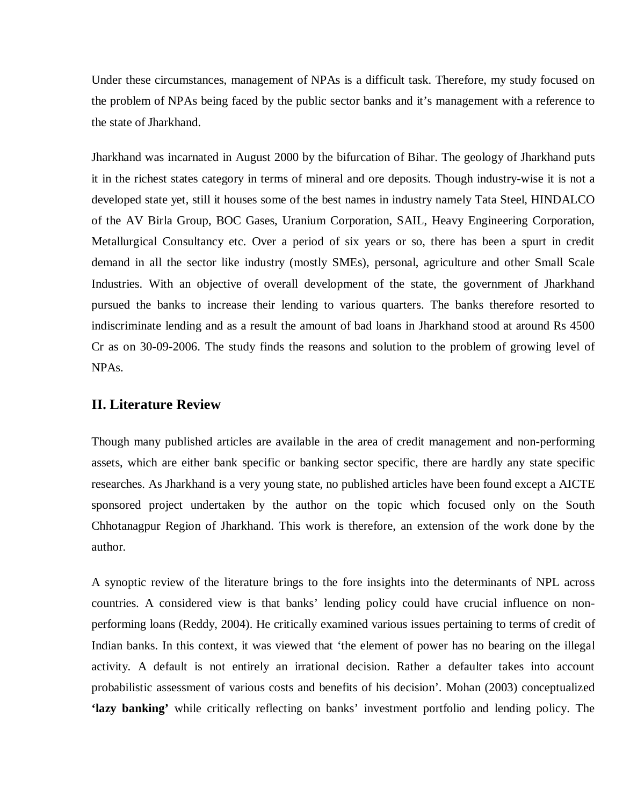Under these circumstances, management of NPAs is a difficult task. Therefore, my study focused on the problem of NPAs being faced by the public sector banks and it's management with a reference to the state of Jharkhand.

Jharkhand was incarnated in August 2000 by the bifurcation of Bihar. The geology of Jharkhand puts it in the richest states category in terms of mineral and ore deposits. Though industry-wise it is not a developed state yet, still it houses some of the best names in industry namely Tata Steel, HINDALCO of the AV Birla Group, BOC Gases, Uranium Corporation, SAIL, Heavy Engineering Corporation, Metallurgical Consultancy etc. Over a period of six years or so, there has been a spurt in credit demand in all the sector like industry (mostly SMEs), personal, agriculture and other Small Scale Industries. With an objective of overall development of the state, the government of Jharkhand pursued the banks to increase their lending to various quarters. The banks therefore resorted to indiscriminate lending and as a result the amount of bad loans in Jharkhand stood at around Rs 4500 Cr as on 30-09-2006. The study finds the reasons and solution to the problem of growing level of NPAs.

## **II. Literature Review**

Though many published articles are available in the area of credit management and non-performing assets, which are either bank specific or banking sector specific, there are hardly any state specific researches. As Jharkhand is a very young state, no published articles have been found except a AICTE sponsored project undertaken by the author on the topic which focused only on the South Chhotanagpur Region of Jharkhand. This work is therefore, an extension of the work done by the author.

A synoptic review of the literature brings to the fore insights into the determinants of NPL across countries. A considered view is that banks' lending policy could have crucial influence on nonperforming loans (Reddy, 2004). He critically examined various issues pertaining to terms of credit of Indian banks. In this context, it was viewed that 'the element of power has no bearing on the illegal activity. A default is not entirely an irrational decision. Rather a defaulter takes into account probabilistic assessment of various costs and benefits of his decision'. Mohan (2003) conceptualized **'lazy banking'** while critically reflecting on banks' investment portfolio and lending policy. The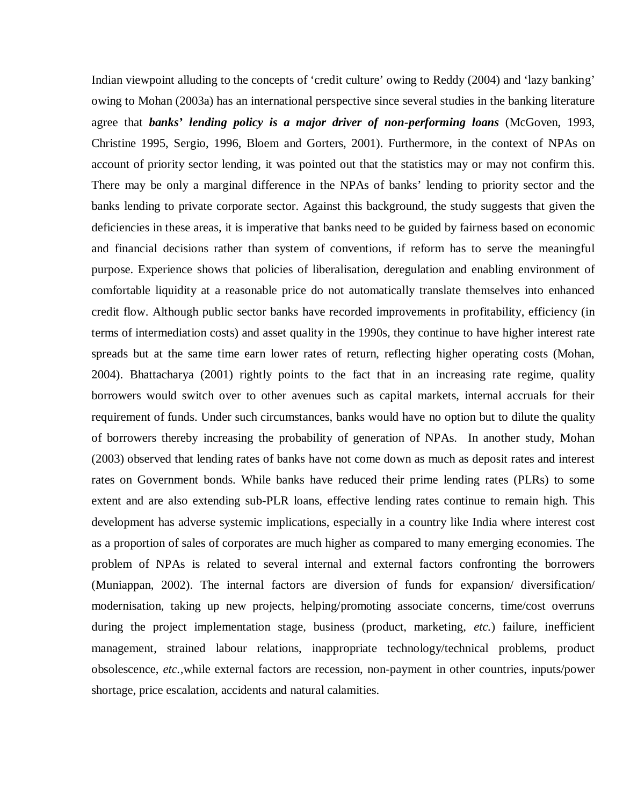Indian viewpoint alluding to the concepts of 'credit culture' owing to Reddy (2004) and 'lazy banking' owing to Mohan (2003a) has an international perspective since several studies in the banking literature agree that *banks' lending policy is a major driver of non-performing loans* (McGoven, 1993, Christine 1995, Sergio, 1996, Bloem and Gorters, 2001). Furthermore, in the context of NPAs on account of priority sector lending, it was pointed out that the statistics may or may not confirm this. There may be only a marginal difference in the NPAs of banks' lending to priority sector and the banks lending to private corporate sector. Against this background, the study suggests that given the deficiencies in these areas, it is imperative that banks need to be guided by fairness based on economic and financial decisions rather than system of conventions, if reform has to serve the meaningful purpose. Experience shows that policies of liberalisation, deregulation and enabling environment of comfortable liquidity at a reasonable price do not automatically translate themselves into enhanced credit flow. Although public sector banks have recorded improvements in profitability, efficiency (in terms of intermediation costs) and asset quality in the 1990s, they continue to have higher interest rate spreads but at the same time earn lower rates of return, reflecting higher operating costs (Mohan, 2004). Bhattacharya (2001) rightly points to the fact that in an increasing rate regime, quality borrowers would switch over to other avenues such as capital markets, internal accruals for their requirement of funds. Under such circumstances, banks would have no option but to dilute the quality of borrowers thereby increasing the probability of generation of NPAs. In another study, Mohan (2003) observed that lending rates of banks have not come down as much as deposit rates and interest rates on Government bonds. While banks have reduced their prime lending rates (PLRs) to some extent and are also extending sub-PLR loans, effective lending rates continue to remain high. This development has adverse systemic implications, especially in a country like India where interest cost as a proportion of sales of corporates are much higher as compared to many emerging economies. The problem of NPAs is related to several internal and external factors confronting the borrowers (Muniappan, 2002). The internal factors are diversion of funds for expansion/ diversification/ modernisation, taking up new projects, helping/promoting associate concerns, time/cost overruns during the project implementation stage, business (product, marketing, *etc.*) failure, inefficient management, strained labour relations, inappropriate technology/technical problems, product obsolescence, *etc.,*while external factors are recession, non-payment in other countries, inputs/power shortage, price escalation, accidents and natural calamities.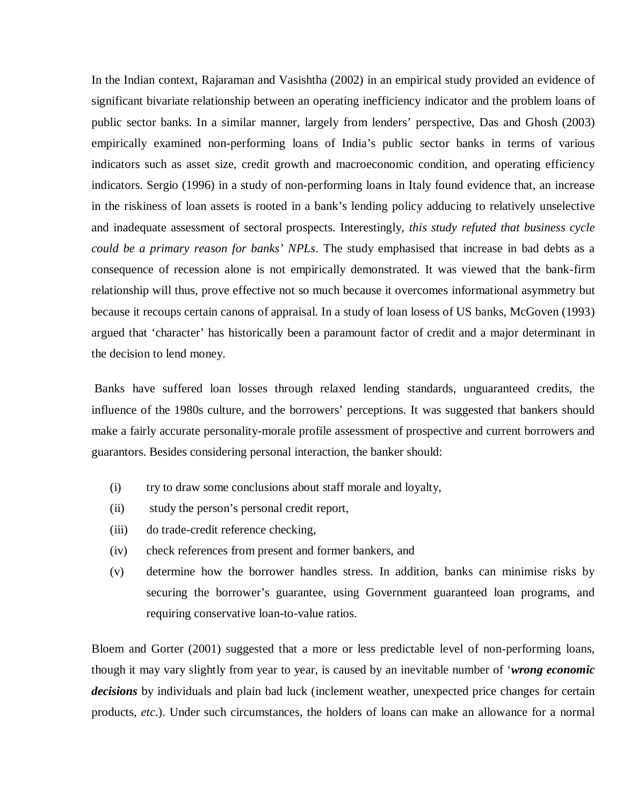In the Indian context, Rajaraman and Vasishtha (2002) in an empirical study provided an evidence of significant bivariate relationship between an operating inefficiency indicator and the problem loans of public sector banks. In a similar manner, largely from lenders' perspective, Das and Ghosh (2003) empirically examined non-performing loans of India's public sector banks in terms of various indicators such as asset size, credit growth and macroeconomic condition, and operating efficiency indicators. Sergio (1996) in a study of non-performing loans in Italy found evidence that, an increase in the riskiness of loan assets is rooted in a bank's lending policy adducing to relatively unselective and inadequate assessment of sectoral prospects. Interestingly, *this study refuted that business cycle could be a primary reason for banks' NPLs*. The study emphasised that increase in bad debts as a consequence of recession alone is not empirically demonstrated. It was viewed that the bank-firm relationship will thus, prove effective not so much because it overcomes informational asymmetry but because it recoups certain canons of appraisal. In a study of loan losess of US banks, McGoven (1993) argued that 'character' has historically been a paramount factor of credit and a major determinant in the decision to lend money.

 Banks have suffered loan losses through relaxed lending standards, unguaranteed credits, the influence of the 1980s culture, and the borrowers' perceptions. It was suggested that bankers should make a fairly accurate personality-morale profile assessment of prospective and current borrowers and guarantors. Besides considering personal interaction, the banker should:

- (i) try to draw some conclusions about staff morale and loyalty,
- (ii) study the person's personal credit report,
- (iii) do trade-credit reference checking,
- (iv) check references from present and former bankers, and
- (v) determine how the borrower handles stress. In addition, banks can minimise risks by securing the borrower's guarantee, using Government guaranteed loan programs, and requiring conservative loan-to-value ratios.

Bloem and Gorter (2001) suggested that a more or less predictable level of non-performing loans, though it may vary slightly from year to year, is caused by an inevitable number of '*wrong economic decisions* by individuals and plain bad luck (inclement weather, unexpected price changes for certain products, *etc.*). Under such circumstances, the holders of loans can make an allowance for a normal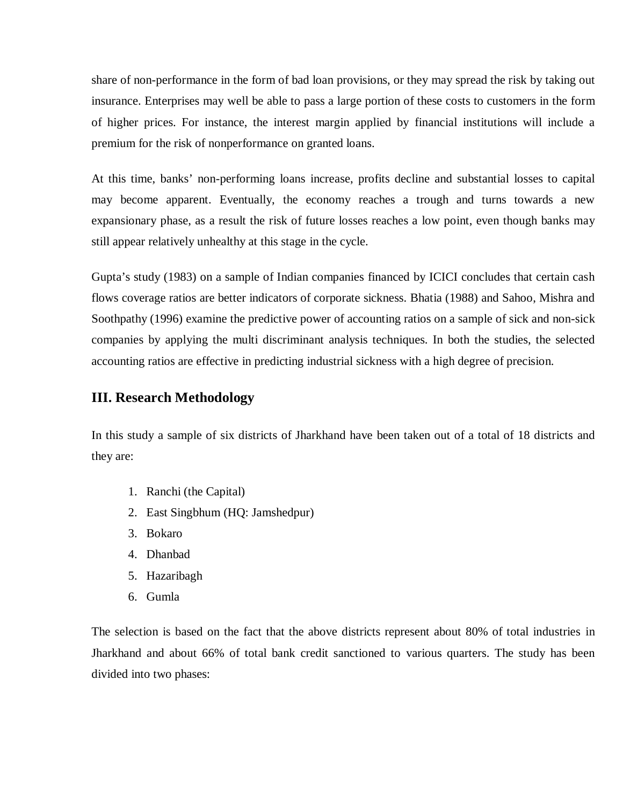share of non-performance in the form of bad loan provisions, or they may spread the risk by taking out insurance. Enterprises may well be able to pass a large portion of these costs to customers in the form of higher prices. For instance, the interest margin applied by financial institutions will include a premium for the risk of nonperformance on granted loans.

At this time, banks' non-performing loans increase, profits decline and substantial losses to capital may become apparent. Eventually, the economy reaches a trough and turns towards a new expansionary phase, as a result the risk of future losses reaches a low point, even though banks may still appear relatively unhealthy at this stage in the cycle.

Gupta's study (1983) on a sample of Indian companies financed by ICICI concludes that certain cash flows coverage ratios are better indicators of corporate sickness. Bhatia (1988) and Sahoo, Mishra and Soothpathy (1996) examine the predictive power of accounting ratios on a sample of sick and non-sick companies by applying the multi discriminant analysis techniques. In both the studies, the selected accounting ratios are effective in predicting industrial sickness with a high degree of precision.

# **III. Research Methodology**

In this study a sample of six districts of Jharkhand have been taken out of a total of 18 districts and they are:

- 1. Ranchi (the Capital)
- 2. East Singbhum (HQ: Jamshedpur)
- 3. Bokaro
- 4. Dhanbad
- 5. Hazaribagh
- 6. Gumla

The selection is based on the fact that the above districts represent about 80% of total industries in Jharkhand and about 66% of total bank credit sanctioned to various quarters. The study has been divided into two phases: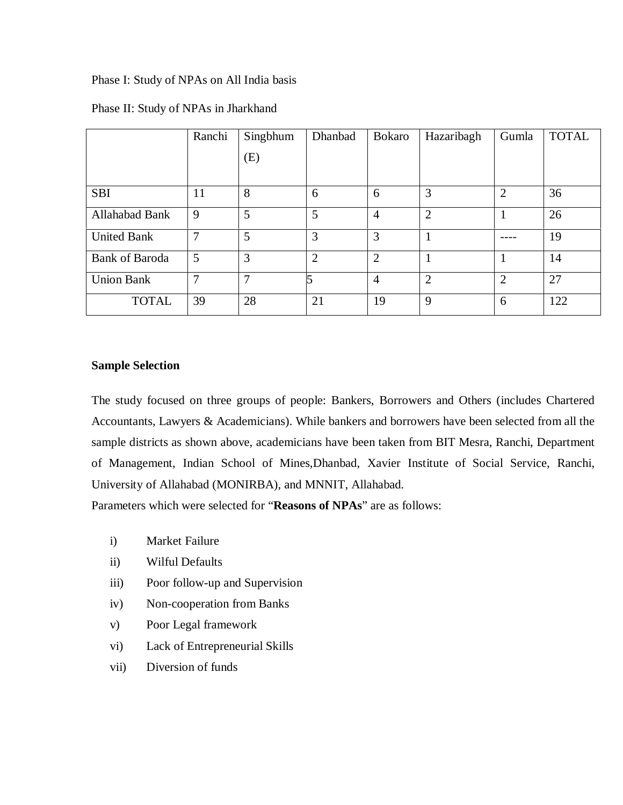Phase I: Study of NPAs on All India basis

|                       | Ranchi | Singbhum     | Dhanbad        | <b>Bokaro</b>  | Hazaribagh     | Gumla          | <b>TOTAL</b> |
|-----------------------|--------|--------------|----------------|----------------|----------------|----------------|--------------|
|                       |        | (E)          |                |                |                |                |              |
|                       |        |              |                |                |                |                |              |
| <b>SBI</b>            | 11     | 8            | 6              | 6              | 3              | $\overline{2}$ | 36           |
| Allahabad Bank        | 9      | 5            | 5              | $\overline{4}$ | $\overline{2}$ |                | 26           |
| <b>United Bank</b>    | 7      | 5            | 3              | 3              |                |                | 19           |
| <b>Bank of Baroda</b> | 5      | 3            | $\overline{2}$ | $\overline{2}$ |                |                | 14           |
| <b>Union Bank</b>     | 7      | $\mathbf{r}$ |                | $\overline{4}$ | $\overline{2}$ | $\overline{2}$ | 27           |
| <b>TOTAL</b>          | 39     | 28           | 21             | 19             | 9              | 6              | 122          |

## Phase II: Study of NPAs in Jharkhand

# **Sample Selection**

The study focused on three groups of people: Bankers, Borrowers and Others (includes Chartered Accountants, Lawyers & Academicians). While bankers and borrowers have been selected from all the sample districts as shown above, academicians have been taken from BIT Mesra, Ranchi, Department of Management, Indian School of Mines,Dhanbad, Xavier Institute of Social Service, Ranchi, University of Allahabad (MONIRBA), and MNNIT, Allahabad.

Parameters which were selected for "**Reasons of NPAs**" are as follows:

- i) Market Failure
- ii) Wilful Defaults
- iii) Poor follow-up and Supervision
- iv) Non-cooperation from Banks
- v) Poor Legal framework
- vi) Lack of Entrepreneurial Skills
- vii) Diversion of funds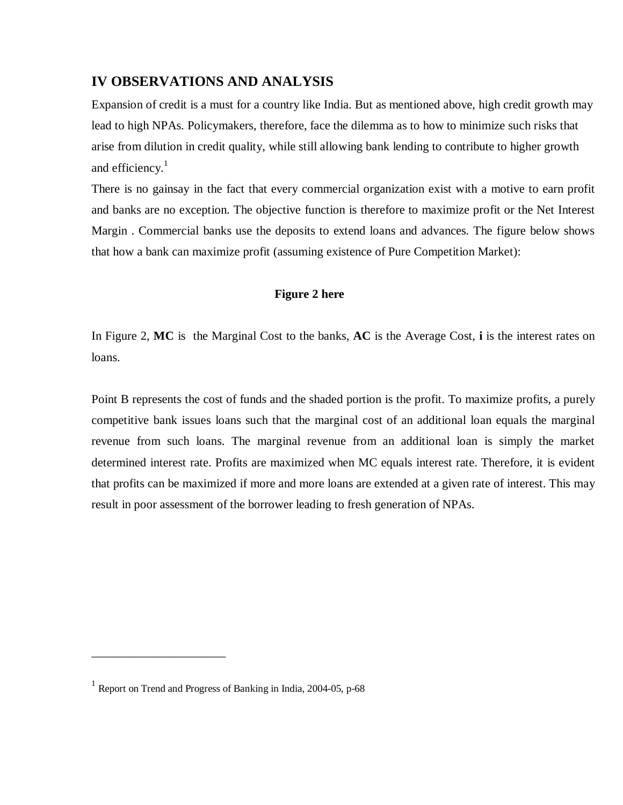# **IV OBSERVATIONS AND ANALYSIS**

Expansion of credit is a must for a country like India. But as mentioned above, high credit growth may lead to high NPAs. Policymakers, therefore, face the dilemma as to how to minimize such risks that arise from dilution in credit quality, while still allowing bank lending to contribute to higher growth and efficiency. $<sup>1</sup>$ </sup>

There is no gainsay in the fact that every commercial organization exist with a motive to earn profit and banks are no exception. The objective function is therefore to maximize profit or the Net Interest Margin . Commercial banks use the deposits to extend loans and advances. The figure below shows that how a bank can maximize profit (assuming existence of Pure Competition Market):

# **Figure 2 here**

In Figure 2, **MC** is the Marginal Cost to the banks, **AC** is the Average Cost, **i** is the interest rates on loans.

Point B represents the cost of funds and the shaded portion is the profit. To maximize profits, a purely competitive bank issues loans such that the marginal cost of an additional loan equals the marginal revenue from such loans. The marginal revenue from an additional loan is simply the market determined interest rate. Profits are maximized when MC equals interest rate. Therefore, it is evident that profits can be maximized if more and more loans are extended at a given rate of interest. This may result in poor assessment of the borrower leading to fresh generation of NPAs.

\_\_\_\_\_\_\_\_\_\_\_\_\_\_\_\_\_\_\_\_\_\_

<sup>&</sup>lt;sup>1</sup> Report on Trend and Progress of Banking in India, 2004-05, p-68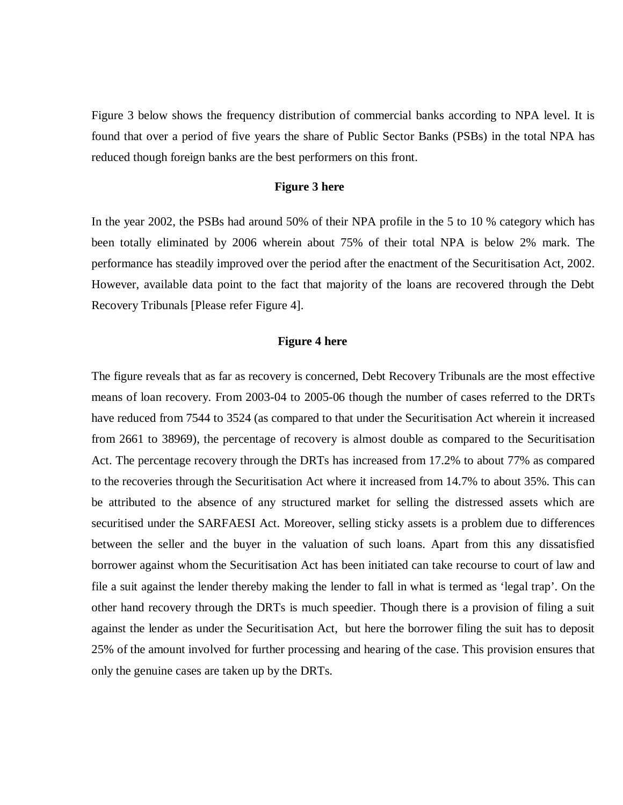Figure 3 below shows the frequency distribution of commercial banks according to NPA level. It is found that over a period of five years the share of Public Sector Banks (PSBs) in the total NPA has reduced though foreign banks are the best performers on this front.

#### **Figure 3 here**

In the year 2002, the PSBs had around 50% of their NPA profile in the 5 to 10 % category which has been totally eliminated by 2006 wherein about 75% of their total NPA is below 2% mark. The performance has steadily improved over the period after the enactment of the Securitisation Act, 2002. However, available data point to the fact that majority of the loans are recovered through the Debt Recovery Tribunals [Please refer Figure 4].

#### **Figure 4 here**

The figure reveals that as far as recovery is concerned, Debt Recovery Tribunals are the most effective means of loan recovery. From 2003-04 to 2005-06 though the number of cases referred to the DRTs have reduced from 7544 to 3524 (as compared to that under the Securitisation Act wherein it increased from 2661 to 38969), the percentage of recovery is almost double as compared to the Securitisation Act. The percentage recovery through the DRTs has increased from 17.2% to about 77% as compared to the recoveries through the Securitisation Act where it increased from 14.7% to about 35%. This can be attributed to the absence of any structured market for selling the distressed assets which are securitised under the SARFAESI Act. Moreover, selling sticky assets is a problem due to differences between the seller and the buyer in the valuation of such loans. Apart from this any dissatisfied borrower against whom the Securitisation Act has been initiated can take recourse to court of law and file a suit against the lender thereby making the lender to fall in what is termed as 'legal trap'. On the other hand recovery through the DRTs is much speedier. Though there is a provision of filing a suit against the lender as under the Securitisation Act, but here the borrower filing the suit has to deposit 25% of the amount involved for further processing and hearing of the case. This provision ensures that only the genuine cases are taken up by the DRTs.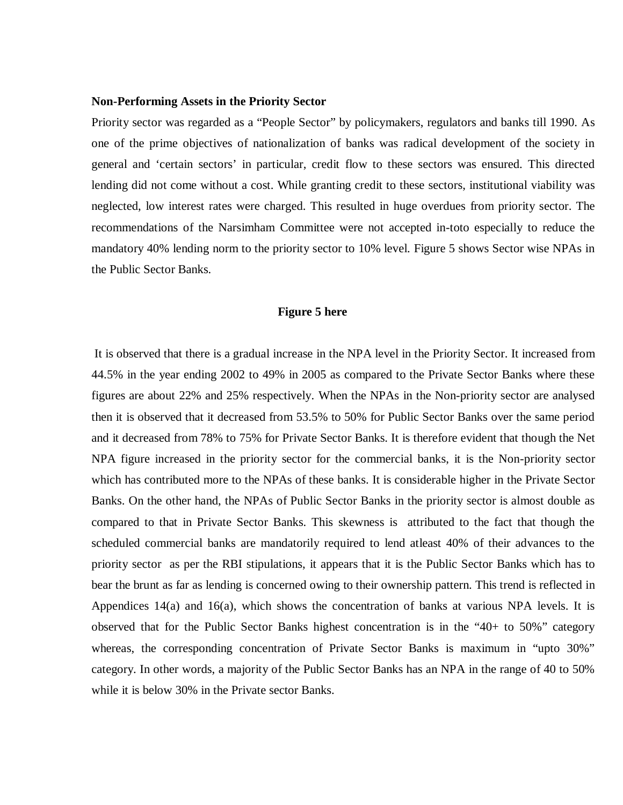#### **Non-Performing Assets in the Priority Sector**

Priority sector was regarded as a "People Sector" by policymakers, regulators and banks till 1990. As one of the prime objectives of nationalization of banks was radical development of the society in general and 'certain sectors' in particular, credit flow to these sectors was ensured. This directed lending did not come without a cost. While granting credit to these sectors, institutional viability was neglected, low interest rates were charged. This resulted in huge overdues from priority sector. The recommendations of the Narsimham Committee were not accepted in-toto especially to reduce the mandatory 40% lending norm to the priority sector to 10% level. Figure 5 shows Sector wise NPAs in the Public Sector Banks.

#### **Figure 5 here**

 It is observed that there is a gradual increase in the NPA level in the Priority Sector. It increased from 44.5% in the year ending 2002 to 49% in 2005 as compared to the Private Sector Banks where these figures are about 22% and 25% respectively. When the NPAs in the Non-priority sector are analysed then it is observed that it decreased from 53.5% to 50% for Public Sector Banks over the same period and it decreased from 78% to 75% for Private Sector Banks. It is therefore evident that though the Net NPA figure increased in the priority sector for the commercial banks, it is the Non-priority sector which has contributed more to the NPAs of these banks. It is considerable higher in the Private Sector Banks. On the other hand, the NPAs of Public Sector Banks in the priority sector is almost double as compared to that in Private Sector Banks. This skewness is attributed to the fact that though the scheduled commercial banks are mandatorily required to lend atleast 40% of their advances to the priority sector as per the RBI stipulations, it appears that it is the Public Sector Banks which has to bear the brunt as far as lending is concerned owing to their ownership pattern. This trend is reflected in Appendices  $14(a)$  and  $16(a)$ , which shows the concentration of banks at various NPA levels. It is observed that for the Public Sector Banks highest concentration is in the "40+ to 50%" category whereas, the corresponding concentration of Private Sector Banks is maximum in "upto 30%" category. In other words, a majority of the Public Sector Banks has an NPA in the range of 40 to 50% while it is below 30% in the Private sector Banks.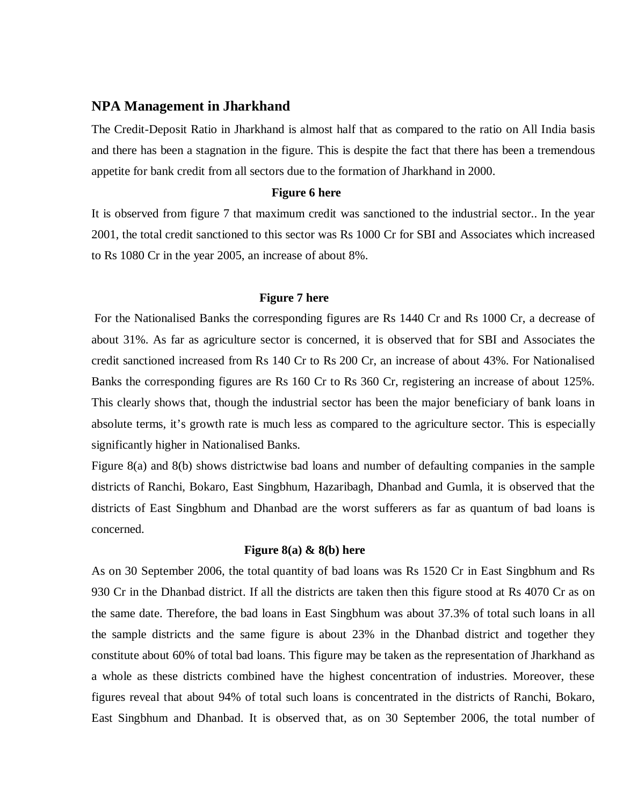## **NPA Management in Jharkhand**

The Credit-Deposit Ratio in Jharkhand is almost half that as compared to the ratio on All India basis and there has been a stagnation in the figure. This is despite the fact that there has been a tremendous appetite for bank credit from all sectors due to the formation of Jharkhand in 2000.

## **Figure 6 here**

It is observed from figure 7 that maximum credit was sanctioned to the industrial sector.. In the year 2001, the total credit sanctioned to this sector was Rs 1000 Cr for SBI and Associates which increased to Rs 1080 Cr in the year 2005, an increase of about 8%.

#### **Figure 7 here**

 For the Nationalised Banks the corresponding figures are Rs 1440 Cr and Rs 1000 Cr, a decrease of about 31%. As far as agriculture sector is concerned, it is observed that for SBI and Associates the credit sanctioned increased from Rs 140 Cr to Rs 200 Cr, an increase of about 43%. For Nationalised Banks the corresponding figures are Rs 160 Cr to Rs 360 Cr, registering an increase of about 125%. This clearly shows that, though the industrial sector has been the major beneficiary of bank loans in absolute terms, it's growth rate is much less as compared to the agriculture sector. This is especially significantly higher in Nationalised Banks.

Figure 8(a) and 8(b) shows districtwise bad loans and number of defaulting companies in the sample districts of Ranchi, Bokaro, East Singbhum, Hazaribagh, Dhanbad and Gumla, it is observed that the districts of East Singbhum and Dhanbad are the worst sufferers as far as quantum of bad loans is concerned.

#### **Figure 8(a) & 8(b) here**

As on 30 September 2006, the total quantity of bad loans was Rs 1520 Cr in East Singbhum and Rs 930 Cr in the Dhanbad district. If all the districts are taken then this figure stood at Rs 4070 Cr as on the same date. Therefore, the bad loans in East Singbhum was about 37.3% of total such loans in all the sample districts and the same figure is about 23% in the Dhanbad district and together they constitute about 60% of total bad loans. This figure may be taken as the representation of Jharkhand as a whole as these districts combined have the highest concentration of industries. Moreover, these figures reveal that about 94% of total such loans is concentrated in the districts of Ranchi, Bokaro, East Singbhum and Dhanbad. It is observed that, as on 30 September 2006, the total number of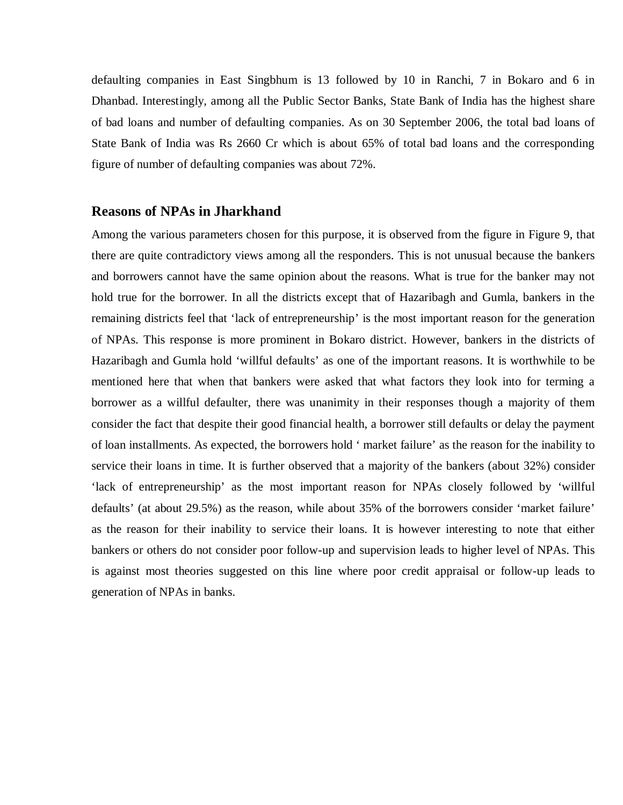defaulting companies in East Singbhum is 13 followed by 10 in Ranchi, 7 in Bokaro and 6 in Dhanbad. Interestingly, among all the Public Sector Banks, State Bank of India has the highest share of bad loans and number of defaulting companies. As on 30 September 2006, the total bad loans of State Bank of India was Rs 2660 Cr which is about 65% of total bad loans and the corresponding figure of number of defaulting companies was about 72%.

#### **Reasons of NPAs in Jharkhand**

Among the various parameters chosen for this purpose, it is observed from the figure in Figure 9, that there are quite contradictory views among all the responders. This is not unusual because the bankers and borrowers cannot have the same opinion about the reasons. What is true for the banker may not hold true for the borrower. In all the districts except that of Hazaribagh and Gumla, bankers in the remaining districts feel that 'lack of entrepreneurship' is the most important reason for the generation of NPAs. This response is more prominent in Bokaro district. However, bankers in the districts of Hazaribagh and Gumla hold 'willful defaults' as one of the important reasons. It is worthwhile to be mentioned here that when that bankers were asked that what factors they look into for terming a borrower as a willful defaulter, there was unanimity in their responses though a majority of them consider the fact that despite their good financial health, a borrower still defaults or delay the payment of loan installments. As expected, the borrowers hold ' market failure' as the reason for the inability to service their loans in time. It is further observed that a majority of the bankers (about 32%) consider 'lack of entrepreneurship' as the most important reason for NPAs closely followed by 'willful defaults' (at about 29.5%) as the reason, while about 35% of the borrowers consider 'market failure' as the reason for their inability to service their loans. It is however interesting to note that either bankers or others do not consider poor follow-up and supervision leads to higher level of NPAs. This is against most theories suggested on this line where poor credit appraisal or follow-up leads to generation of NPAs in banks.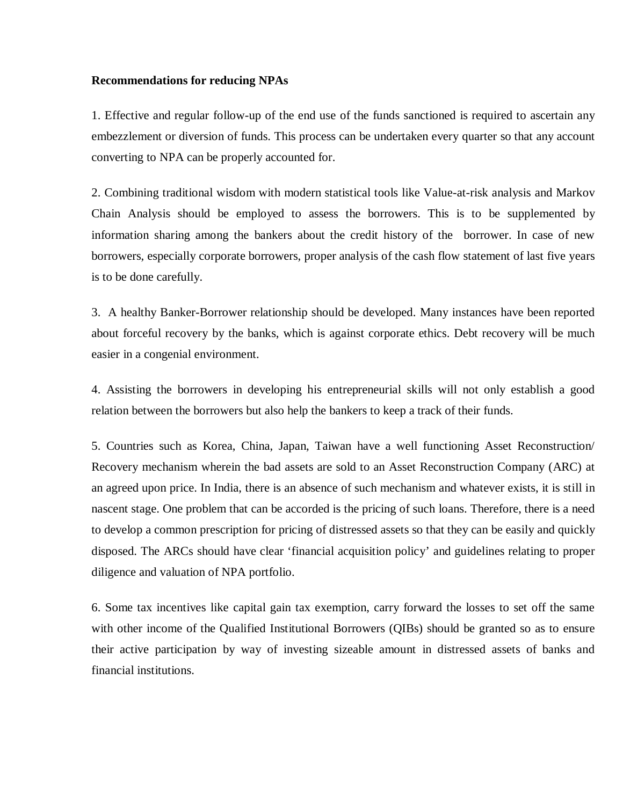#### **Recommendations for reducing NPAs**

1. Effective and regular follow-up of the end use of the funds sanctioned is required to ascertain any embezzlement or diversion of funds. This process can be undertaken every quarter so that any account converting to NPA can be properly accounted for.

2. Combining traditional wisdom with modern statistical tools like Value-at-risk analysis and Markov Chain Analysis should be employed to assess the borrowers. This is to be supplemented by information sharing among the bankers about the credit history of the borrower. In case of new borrowers, especially corporate borrowers, proper analysis of the cash flow statement of last five years is to be done carefully.

3. A healthy Banker-Borrower relationship should be developed. Many instances have been reported about forceful recovery by the banks, which is against corporate ethics. Debt recovery will be much easier in a congenial environment.

4. Assisting the borrowers in developing his entrepreneurial skills will not only establish a good relation between the borrowers but also help the bankers to keep a track of their funds.

5. Countries such as Korea, China, Japan, Taiwan have a well functioning Asset Reconstruction/ Recovery mechanism wherein the bad assets are sold to an Asset Reconstruction Company (ARC) at an agreed upon price. In India, there is an absence of such mechanism and whatever exists, it is still in nascent stage. One problem that can be accorded is the pricing of such loans. Therefore, there is a need to develop a common prescription for pricing of distressed assets so that they can be easily and quickly disposed. The ARCs should have clear 'financial acquisition policy' and guidelines relating to proper diligence and valuation of NPA portfolio.

6. Some tax incentives like capital gain tax exemption, carry forward the losses to set off the same with other income of the Qualified Institutional Borrowers (QIBs) should be granted so as to ensure their active participation by way of investing sizeable amount in distressed assets of banks and financial institutions.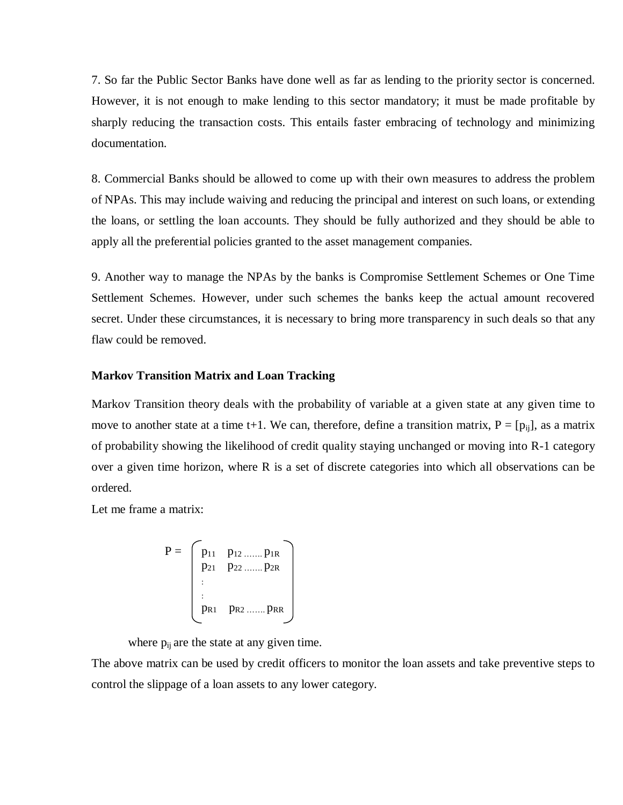7. So far the Public Sector Banks have done well as far as lending to the priority sector is concerned. However, it is not enough to make lending to this sector mandatory; it must be made profitable by sharply reducing the transaction costs. This entails faster embracing of technology and minimizing documentation.

8. Commercial Banks should be allowed to come up with their own measures to address the problem of NPAs. This may include waiving and reducing the principal and interest on such loans, or extending the loans, or settling the loan accounts. They should be fully authorized and they should be able to apply all the preferential policies granted to the asset management companies.

9. Another way to manage the NPAs by the banks is Compromise Settlement Schemes or One Time Settlement Schemes. However, under such schemes the banks keep the actual amount recovered secret. Under these circumstances, it is necessary to bring more transparency in such deals so that any flaw could be removed.

#### **Markov Transition Matrix and Loan Tracking**

Markov Transition theory deals with the probability of variable at a given state at any given time to move to another state at a time t+1. We can, therefore, define a transition matrix,  $P = [p_{ii}]$ , as a matrix of probability showing the likelihood of credit quality staying unchanged or moving into R-1 category over a given time horizon, where R is a set of discrete categories into which all observations can be ordered.

Let me frame a matrix:

$$
P = \begin{bmatrix} p_{11} & p_{12} \dots p_{1R} \\ p_{21} & p_{22} \dots p_{2R} \\ \vdots & \vdots \\ p_{R1} & p_{R2} \dots p_{RR} \end{bmatrix}
$$

where  $p_{ii}$  are the state at any given time.

The above matrix can be used by credit officers to monitor the loan assets and take preventive steps to control the slippage of a loan assets to any lower category.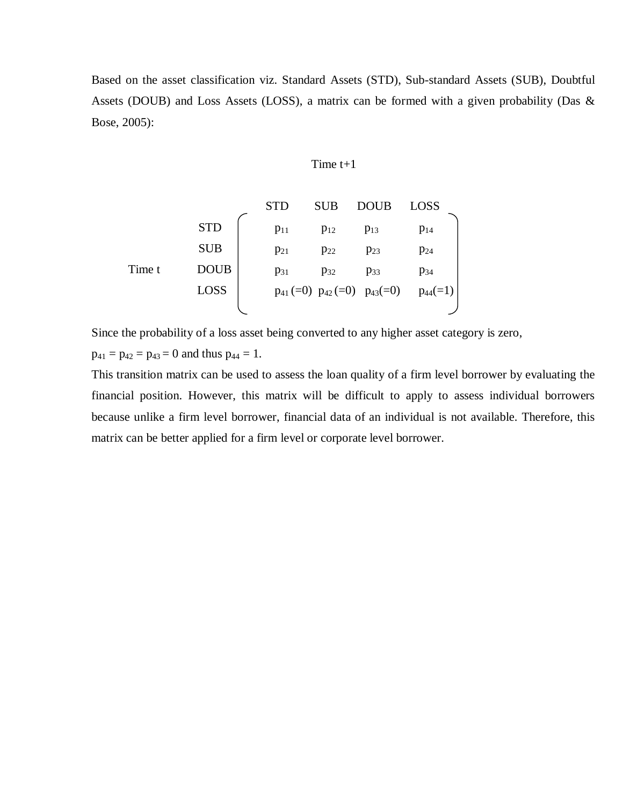Based on the asset classification viz. Standard Assets (STD), Sub-standard Assets (SUB), Doubtful Assets (DOUB) and Loss Assets (LOSS), a matrix can be formed with a given probability (Das & Bose, 2005):

#### Time t+1

| STD  | SUB           | DOUB          | LOSS          |               |
|------|---------------|---------------|---------------|---------------|
| SUB  | $p_{11}$      | $p_{12}$      | $p_{13}$      | $p_{14}$      |
| SUB  | $p_{21}$      | $p_{22}$      | $p_{23}$      | $p_{24}$      |
| TD   | $p_{21}$      | $p_{22}$      | $p_{23}$      | $p_{24}$      |
| DOUB | $p_{31}$      | $p_{32}$      | $p_{33}$      | $p_{34}$      |
| LOSS | $p_{41} (=0)$ | $p_{42} (=0)$ | $p_{43} (=0)$ | $p_{44} (=1)$ |

Since the probability of a loss asset being converted to any higher asset category is zero,

 $p_{41} = p_{42} = p_{43} = 0$  and thus  $p_{44} = 1$ .

This transition matrix can be used to assess the loan quality of a firm level borrower by evaluating the financial position. However, this matrix will be difficult to apply to assess individual borrowers because unlike a firm level borrower, financial data of an individual is not available. Therefore, this matrix can be better applied for a firm level or corporate level borrower.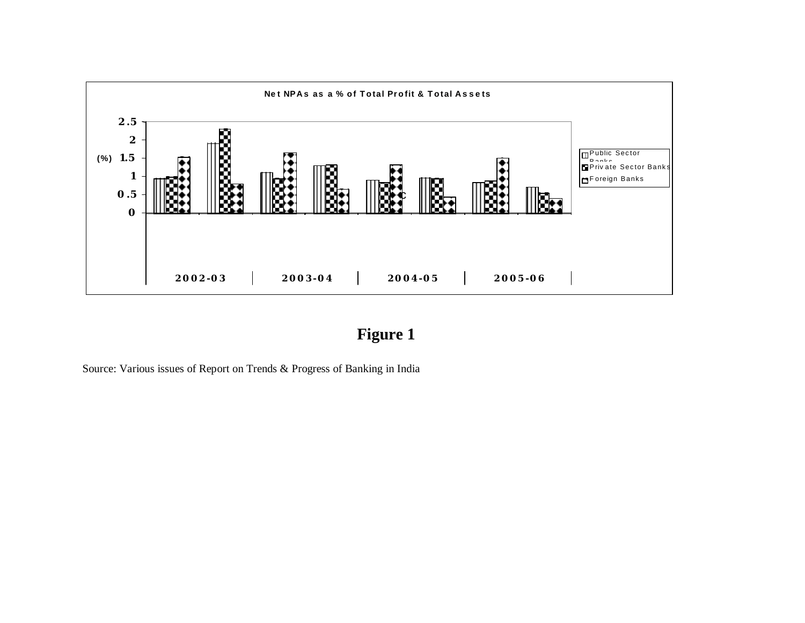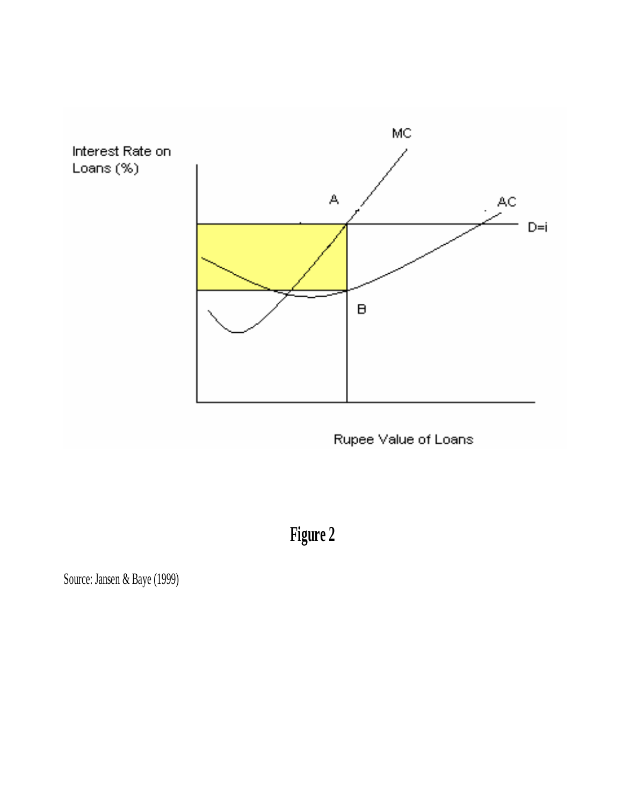

Rupee Value of Loans

**Figure 2**

Source: Jansen & Baye (1999)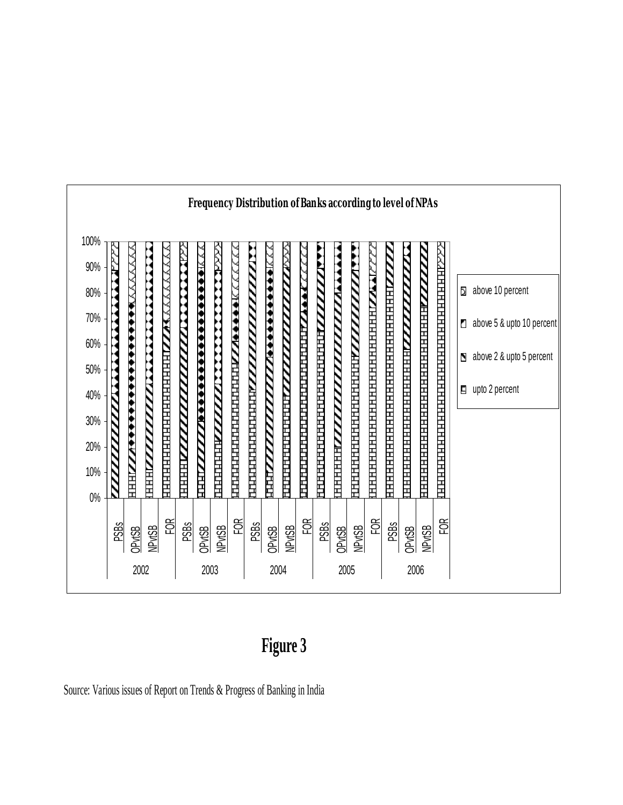

**Figure 3**

Source: Various issues of Report on Trends & Progress of Banking in India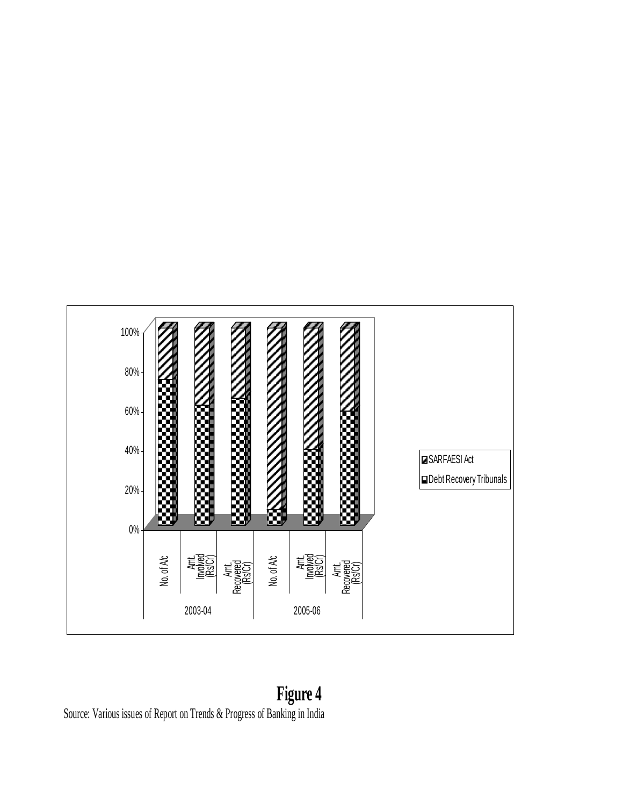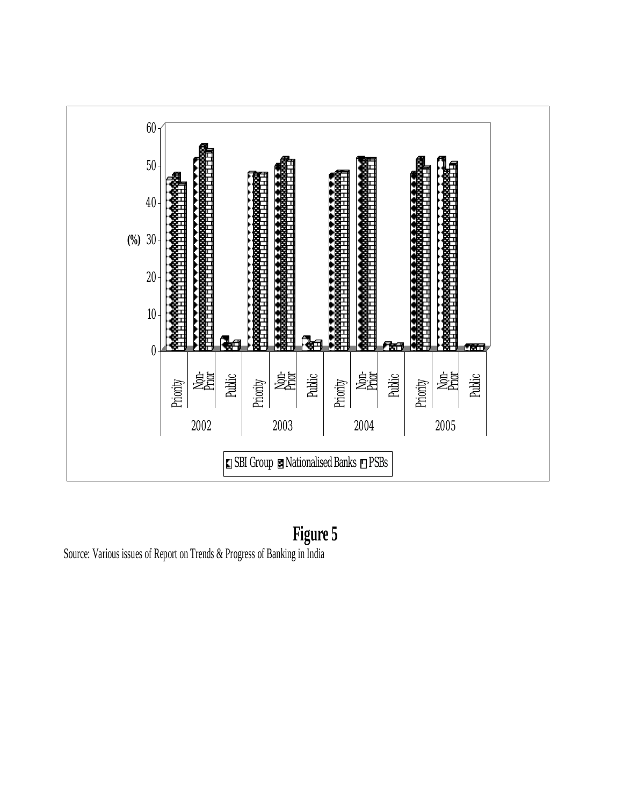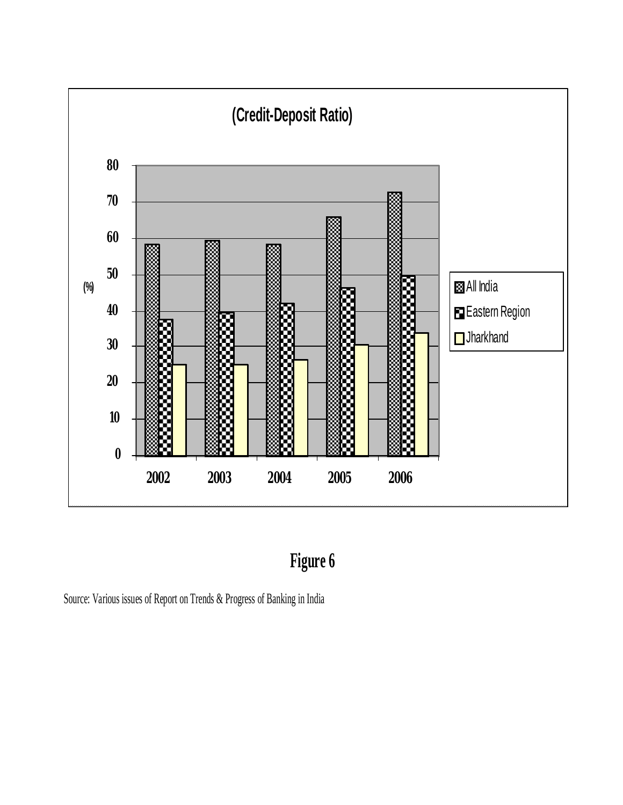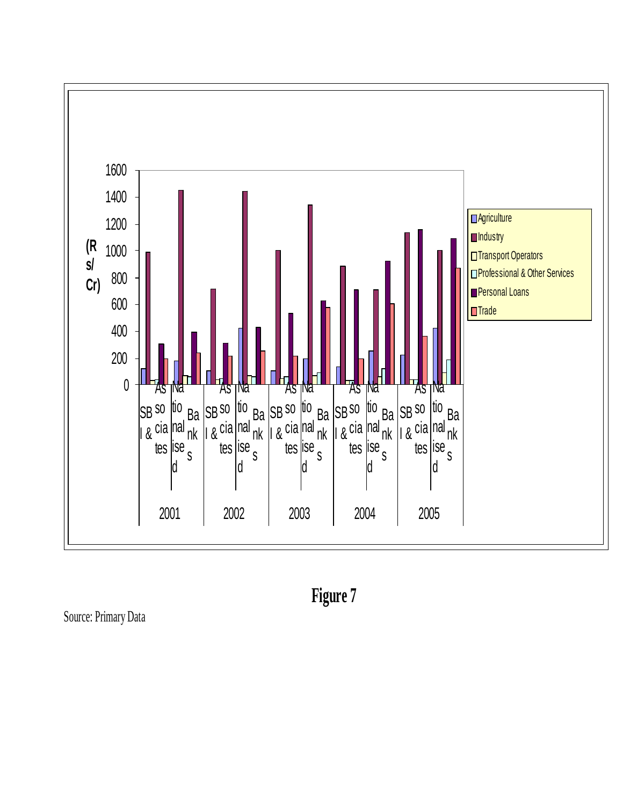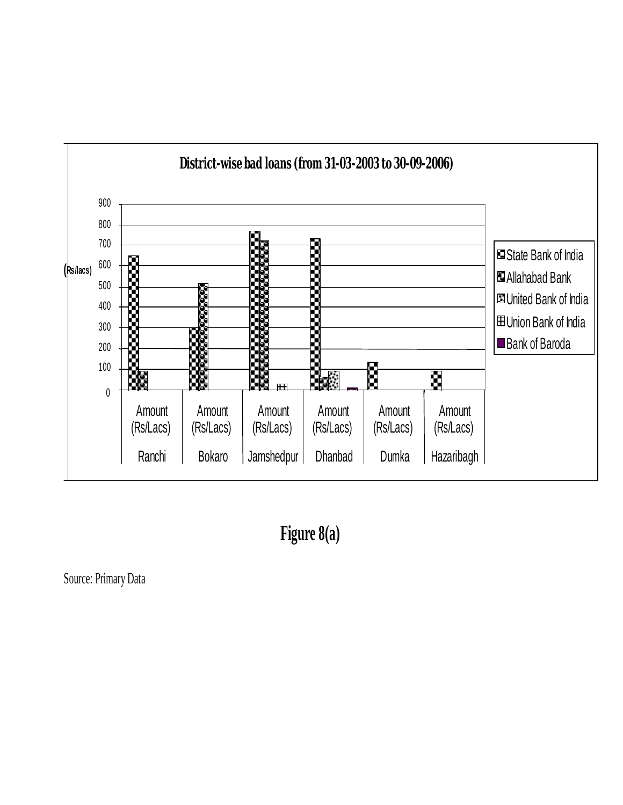

 **Figure 8(a)**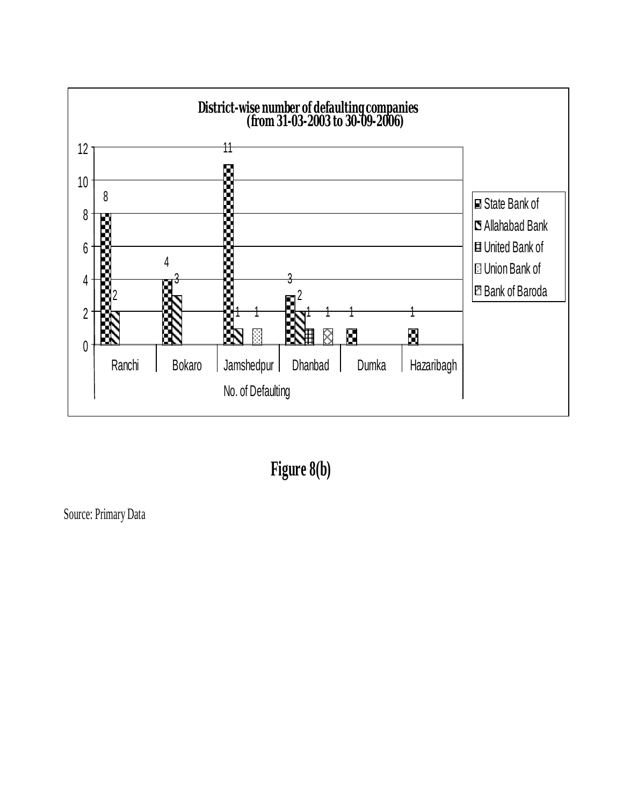

 **Figure 8(b)**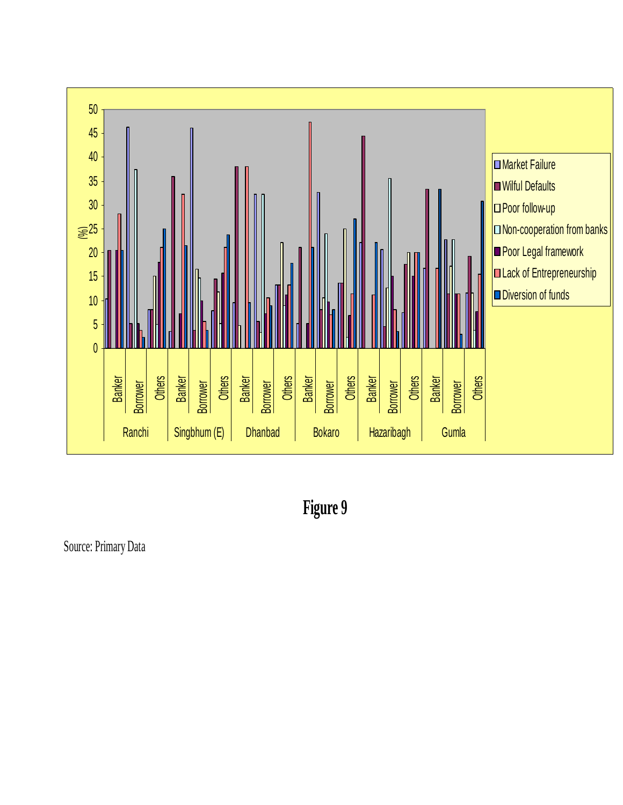

 **Figure 9**